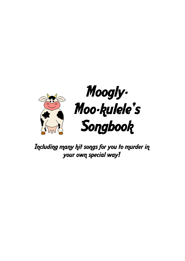

Including many hit songs for you to murder in your own special way!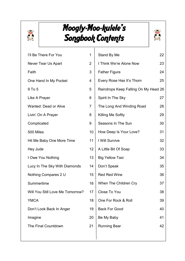

# Moogly-Moo-kulele's Songbook Contents



| I'll Be There For You            | 1              | Stand By Me                          | 22 |
|----------------------------------|----------------|--------------------------------------|----|
| Never Tear Us Apart              | $\overline{2}$ | I Think We're Alone Now              | 23 |
| Faith                            | 3              | <b>Father Figure</b>                 | 24 |
| One Hand In My Pocket            | 4              | Every Rose Has It's Thorn            | 25 |
| 9 To 5                           | 5              | Raindrops Keep Falling On My Head 26 |    |
| Like A Prayer                    | 6              | Spirit In The Sky                    | 27 |
| <b>Wanted: Dead or Alive</b>     | $\overline{7}$ | The Long And Winding Road            | 28 |
| Livin' On A Prayer               | 8              | Killing Me Softly                    | 29 |
| Complicated                      | 9              | Seasons In The Sun                   | 30 |
| 500 Miles                        | 10             | How Deep Is Your Love?               | 31 |
| Hit Me Baby One More Time        | 11             | I Will Survive                       | 32 |
| Hey Jude                         | 12             | A Little Bit Of Soap                 | 33 |
| I Owe You Nothing                | 13             | <b>Big Yellow Taxi</b>               | 34 |
| Lucy In The Sky With Diamonds    | 14             | Don't Speak                          | 35 |
| Nothing Compares 2 U             | 15             | <b>Red Red Wine</b>                  | 36 |
| Summertime                       | 16             | When The Children Cry                | 37 |
| Will You Still Love Me Tomorrow? | 17             | Close To You                         | 38 |
| <b>YMCA</b>                      | 18             | One For Rock & Roll                  | 39 |
| Don't Look Back In Anger         | 19             | <b>Back For Good</b>                 | 40 |
| Imagine                          | 20             | Be My Baby                           | 41 |
| The Final Countdown              | 21             | <b>Running Bear</b>                  | 42 |
|                                  |                |                                      |    |
|                                  |                |                                      |    |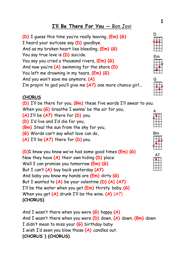#### I'll Be There For You — Bon Jovi

(D) I guess this time you're really leaving, (Em) (G) I heard your suitcase say (D) goodbye. And as my broken heart lies bleeding, (Em) (G) You say true love is (D) suicide. You say you cried a thousand rivers, (Em) (G) And now you're (A) swimming for the shore (D) You left me drowning in my tears, (Em) (G) And you won't save me anymore. (A) I'm prayin' to god you'll give me (A7) one more chance girl...

#### CHORUS

(D) I'll be there for you, (Bm) these five words I'll swear to you. When you (G) breathe I wanna' be the air for you, (A) I'll be (A7) there for (D) you. (D) I'd live and I'd die for you, (Bm) Steal the sun from the sky for you, (G) Words can't say what love can do, (A) I'll be (A7) there for (D) you.

(D)I know you know we've had some good times (Em) (G) Now they have  $(A)$  their own hiding  $(D)$  place Well I can promise you tomorrow (Em) (G) But I can't (A) buy back yesterday (A7) And baby you know my hands are (Em) dirty (G) But I wanted to  $(A)$  be your valentine  $(D)$   $(A)$   $(A7)$ I'll be the water when you get  $(Em)$  thirsty baby,  $(G)$ When you get  $(A)$  drunk I'll be the wine.  $(A)$   $(A7)$ (CHORUS)

And I wasn't there when you were  $(G)$  happy  $(A)$ And I wasn't there when you were  $(D)$  down,  $(A)$  down,  $(Bm)$  down I didn't mean to miss your (G) birthday baby I wish I'd seen you blow those (A) candles out. (CHORUS ) (CHORUS)

D







|  | ï |  |
|--|---|--|
|  |   |  |
|  |   |  |
|  |   |  |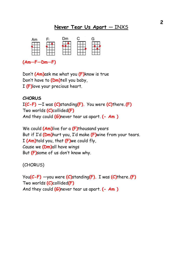#### Never Tear Us Apart — INXS



(Am—F—Dm—F)

Don't (Am)ask me what you (F)know is true Don't have to (Dm)tell you baby, I (F)love your precious heart.

#### **CHORUS**

 $I(C-F) - I$  was  $(C)$ standing $(F)$ . You were  $(C)$ there. $(F)$ Two worlds (C)collided(F) And they could  $(G)$ never tear us apart.  $(-Am)$ 

We could  $(Am)$ live for a  $(F)$ thousand years But if I'd (Dm)hurt you, I'd make (F)wine from your tears. I  $(Am)$  told you, that  $(F)$  we could fly, Cause we (Dm)all have wings But (F)some of us don't know why.

(CHORUS)

You $(C-F)$  –you were  $(C)$ standing $(F)$ . I was  $(C)$ there. $(F)$ Two worlds (C)collided(F) And they could  $(G)$ never tear us apart.  $(-Am)$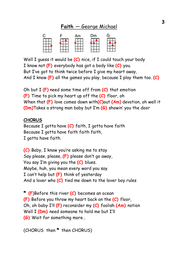



Well I guess it would be  $(C)$  nice, if I could touch your body I know not (F) everybody has got a body like (C) you. But I've got to think twice before I give my heart away, And I know  $(F)$  all the games you play, because I play them too.  $(C)$ 

Oh but I  $(F)$  need some time off from  $(C)$  that emotion (F) Time to pick my heart up off the (C) floor, oh When that  $(F)$  love comes down with  $(C)$  out  $(Am)$  devotion, oh well it (Dm)Takes a strong man baby but I'm (G) showin' you the door

#### CHORUS

Because I gotta have  $(C)$  faith, I gotta have faith Because I gotta have faith faith faith, I gotta have faith.

(C) Baby, I know you're asking me to stay Say please, please, (F) please don't go away, You say I'm giving you the  $(C)$  blues. Maybe, huh, you mean every word you say I can't help but  $(F)$  think of yesterday And a lover who  $(C)$  tied me down to the lover boy rules

\* (F)Before this river (C) becomes an ocean (F) Before you throw my heart back on the (C) floor, Oh, oh baby I'll (F) reconsider my (C) foolish (Am) notion Well I (Dm) need someone to hold me but I'll (G) Wait for something more…

(CHORUS then \* then CHORUS)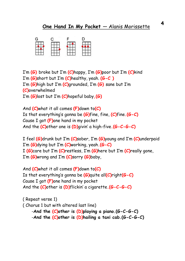#### One Hand In My Pocket — Alanis Morissette



I'm (G) broke but I'm (C)happy, I'm (G)poor but I'm (C)kind I'm (G)short but I'm (C)healthy, yeah. (G-C) I'm (G)high but I'm (C)grounded, I'm (G) sane but I'm (C)overwhelmed I'm (G)lost but I'm (C)hopeful baby,(G)

And (C)what it all comes (F)down to(C) Is that everything's gonna be  $(G)$ fine, fine,  $(C)$ fine.  $(G - C)$ Cause I got (F)one hand in my pocket And the (C)other one is (D)givin' a high-five.(G-C-G-C)

I feel (G)drunk but I'm (C)sober, I'm (G)young and I'm (C)underpaid I'm (G)dying but I'm (C)working, yeah.(G-C) I (G)care but I'm (C)restless, I'm (G)here but I'm (C)really gone, I'm (G)wrong and I'm (C)sorry (G)baby,

And  $(C)$ what it all comes  $(F)$ down to $(C)$ Is that everything's gonna be  $(G)$ quite all $(C)$ right $(G-C)$ Cause I got (F)one hand in my pocket And the (C)other is (D)flickin' a cigarette.(G-C-G-C)

( Repeat verse 1) ( Chorus 1 but with altered last line) -And the  $(C)$ other is  $(D)$ playing a piano.  $(G - C - G - C)$ -And the  $(C)$ other is  $(D)$ hailing a taxi cab.(G-C-G-C)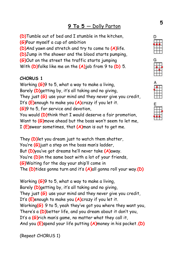#### 9 To 5 – Dolly Parton

(D)Tumble out of bed and I stumble in the kitchen, (G)Pour myself a cup of ambition (D)And yawn and stretch and try to come to (A)life. (D)Jump in the shower and the blood starts pumping, (G)Out on the street the traffic starts jumping With  $(D)$  folks like me on the  $(A)$  job from 9 to  $(D)$  5.

#### CHORUS 1

Working (G)9 to 5, what a way to make a living, Barely (D)getting by, it's all taking and no giving, They just  $(G)$  use your mind and they never give you credit, It's (E)enough to make you (A)crazy if you let it. (G)9 to 5, for service and devotion, You would (D)think that I would deserve a fair promotion, Want to (G)move ahead but the boss won't seem to let me, I (E)swear sometimes, that (A)man is out to get me.

They (D) let you dream just to watch them shatter, You're (G) just a step on the boss man's ladder, But (D)you've got dreams he'll never take (A)away. You're (D)in the same boat with a lot of your friends, (G)Waiting for the day your ship'll come in The (D)tides gonna turn and it's (A)all gonna roll your way.(D)

Working (G)9 to 5, what a way to make a living, Barely (D)getting by, it's all taking and no giving, They just  $(G)$  use your mind and they never give you credit, It's (E)enough to make you (A)crazy if you let it. Working(G) 9 to 5, yeah they've got you where they want you, There's a (D)better life, and you dream about it don't you, It's a  $(G)$ rich man's game, no matter what they call it, And you (E)spend your life putting (A)money in his pocket.(D)

```
(Repeat CHORUS 1)
```


D



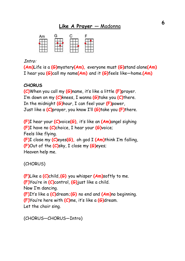#### Like A Prayer - Madonna



Intro:

(Am)Life is a (G)mystery(Am), everyone must (G)stand alone(Am) I hear you  $(G)$ call my name $(Am)$  and it  $(G)$ feels like—home. $(Am)$ 

#### **CHORUS**

(C)When you call my (G)name, it's like a little (F)prayer. I'm down on my  $(C)$ knees, I wanna  $(G)$ take you  $(C)$ there. In the midnight  $(G)$ hour, I can feel your  $(F)$ power, Just like a (C)prayer, you know I'll (G)take you (F)there.

(F)I hear your (C)voice(G), it's like an (Am)angel sighing (F)I have no (C)choice, I hear your (G)voice; Feels like flying. (F)I close my  $(C)$ eyes $(G)$ , oh god I  $(Am)$ think I'm falling, (F)Out of the (C)sky, I close my (G)eyes; Heaven help me.

(CHORUS)

**(F)**Like a  $(C)$ child,  $(G)$  you whisper  $(Am)$ softly to me. (F)You're in (C)control, (G)just like a child. Now I'm dancing. (F)It's like a (C)dream;(G) no end and (Am)no beginning. (F)You're here with (C)me, it's like a (G)dream. Let the choir sing.

(CHORUS—CHORUS—Intro)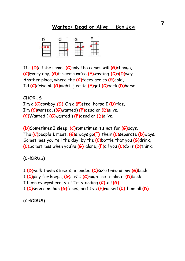#### Wanted: Dead or Alive — Bon Jovi



It's (D)all the same,  $(C)$ only the names will  $(G)$ change, (C)Every day, (G)it seems we're (F)wasting (C)a(D)way. Another place, where the  $(C)$  faces are so  $(G)$ cold, I'd (C)drive all (G)night, just to (F)get (C)back (D)home.

**CHORUS** 

I'm a (C)cowboy. (G) On a (F)steel horse I (D)ride, I'm (C)wanted, ((G)wanted) (F)dead or (D)alive. (C)Wanted ( (G)wanted ) (F)dead or (D)alive.

(D)Sometimes I sleep, (C)sometimes it's not for (G)days. The  $(C)$ people I meet,  $(G)$ always go $(F)$  their  $(C)$ separate  $(D)$ ways. Sometimes you tell the day, by the  $(C)$ bottle that you  $(G)$ drink, (C)Sometimes when you're (G) alone, (F)all you (C)do is (D)think.

#### (CHORUS)

- I (D)walk these streets; a loaded (C)six-string on my (G)back.
- I (C)play for keeps, (G)cus' I (C)might not make it (D)back.
- I been everywhere, still I'm standing  $(C)$ tall. $(G)$
- I (C)seen a million (G)faces, and I've (F)rocked (C)them all.(D)

(CHORUS)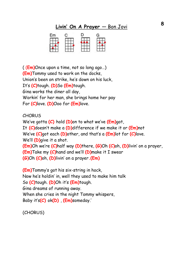#### Livin' On A Prayer — Bon Jovi



( (Em)Once upon a time, not so long ago…) (Em)Tommy used to work on the docks, Union's been on strike, he's down on his luck, It's (C)tough. (D)So (Em)tough. Gina works the diner all day, Workin' for her man, she brings home her pay For (C)love. (D)Ooo for (Em)love.

CHORUS We've gotta  $(C)$  hold  $(D)$ on to what we've  $(Em)$ got, It (C)doesn't make a (D)difference if we make it or (Em)not We've (C)got each (D)other, and that's a (Em)lot for (C)love. We'll (D)give it a shot. (Em)Oh we're (C)half way (D)there, (G)Oh (C)oh, (D)livin' on a prayer, (Em)Take my (C)hand and we'll (D)make it I swear (G)Oh (C)oh, (D)livin' on a prayer.(Em)

(Em)Tommy's got his six-string in hock, Now he's holdin' in, well they used to make him talk So (C)tough. (D)Oh it's (Em)tough. Gina dreams of running away. When she cries in the night Tommy whispers, Baby it's(C) ok(D) , (Em)someday.'

(CHORUS)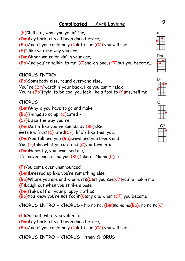# $Complicated - Avril Lavingne$  9

(F)Chill out, what you yellin' for, (Dm)Lay back, it's all been done before, (Bb)And if you could only  $(C)$  let it be,  $(C7)$  you will see: (F)I like you the way you are, (Dm)When we're drivin' in your car, (Bb)And you're talkin' to me,  $(C)$ one-on-one,  $(C7)$ but you become...

#### CHORUS INTRO:

(Bb)Somebody else, round everyone else, You´re (Dm)watchin' your back, like you can't relax, You're (Bb)tryin' to be cool you look like a fool to  $(C)$ me, tell me:

#### **CHORUS**

(Dm)Why'd you have to go and make (Bb)Things so compli $(C)$ cated ? (C7)I see the way you're (Dm)Actin' like you're somebody (Bb)else Gets me frust( $C$ ) rated( $C$ ), life's like this, you, (Dm)You fall and you (Bb)crawl and you break and You  $(F)$ take what you get and  $(C)$ you turn into. (Dm)Honestly, you promised me, I'm never gonna find you (Bb)fake it. No no (F)no.

(F)You come over unannounced (Dm)Dressed up like you're something else (Bb)Where you are and where it's( $C$ ) at you see( $C7$ ) you're makin me (F)Laugh out when you strike a pose (Dm)Take off all your preppy clothes (Bb)You know you're not foolin( $C$ )any one when  $(C7)$  you become,

**CHORUS INTRO + CHORUS +** No no no,  $(Dm)$ no no no $(Bb)$ , no no no $(C)$ .

(F)Chill out, what you yellin' for, (Dm)Lay back, it's all been done before, (Bb)And if you could only  $(C)$  let it be,  $(C7)$  you will see:

#### CHORUS INTRO + CHORUS then CHORUS







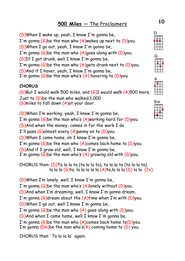# 500 Miles — The Proclaimers <sup>10</sup>

(D)When I wake up, yeah, I know I'm gonna be, I'm gonna  $(G)$ be the man who  $(A)$ wakes up next to  $(D)$ you. (D)When I go out, yeah, I know I'm gonna be, I'm gonna  $(G)$ be the man who  $(A)$ goes along with  $(D)$ you. (D)If I get drunk, well I know I'm gonna be, I'm gonna  $(G)$ be the man who  $(A)$ gets drunk next to  $(D)$ you. (D)And if I haver, yeah, I know I'm gonna be, I'm gonna  $(G)$ be the man who's  $(A)$  havering to  $(D)$ you.

#### **CHORUS**

(D)But I would walk 500 miles, and (G)I would walk (A)500 more, Just to (D)be the man who walked 1,000 (G)miles to fall down (A)at your door.

(D)When I'm working, yeah, I know I'm gonna be, I'm gonna  $(G)$ be the man who's  $(A)$ working hard for  $(D)$ you. (D)And when the money, comes in for the work I do I'll pass  $(G)$ almost every  $(A)$ penny on to  $(D)$ you. (D)When I come home, oh I know I'm gonna be, I'm gonna  $(G)$ be the man who  $(A)$ comes back home to  $(D)$ you. (D)And if I grow old, well, I know I'm gonna be, I'm gonna  $(\bar{G})$ be the man who's  $(A)$  growing old with  $(D)$ you.

CHORUS then: (D)Ta la la ta (ta la la ta), ta la la ta (ta la la ta), la la la  $(G)$ ta, la la la la la  $(A)$ ta, la la  $(D)$  la la  $(2x)$ 

(D)When I'm lonely, well, I know I'm gonna be,

I'm gonna  $(G)$ be the man who's  $(A)$ lonely without  $(D)$ you.

(D)And when I'm dreaming, well, I know I'm gonna dream,

I'm gonna  $(G)$ dream about the  $(A)$ time when I'm with  $(D)$ you.

(D)When I go out, well I know I'm gonna be,

I'm gonna  $(G)$ be the man who  $(A)$  goes along with  $(D)$ you.

(D)And when I come home, well I know I'm gonna be,

I'm gonna  $(G)$ be the man who  $(A)$ comes back home to $(D)$ you.

I'm gonna (Em)be the man who's(A) coming home to (D) you.

CHORUS then ' Ta la la la' again.







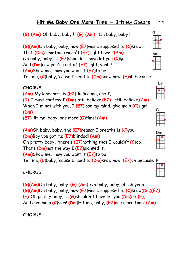#### Hit Me Baby One More Time  $-$  Britney Spears 11

 $(G)$  (Am) Oh baby, baby !  $(G)$  (Am) Oh baby, baby ! (G)(Am)Oh baby, baby, how (E7)was I supposed to (C)know, That (Dm)something wasn't (E7)right here ?(Am) Oh baby, baby, I (E7)shouldn't have let you (C)go, And (Dm)now you're out of (E7)sight, yeah ! (Am)Show me, how you want it (E7)to be ! Tell me,  $(C)$ baby, 'cause I need to  $(Dm)$ know now,  $(E)$ oh because

#### **CHORUS**

(Am) My loneliness is (E7) killing me, and I, (C) I must confess I (Dm) still believe,(E7) still believe.(Am) When  $\Gamma'$ m not with you,  $\Gamma$  (E7)lose my mind, give me a (C)sign! (Dm) (E7)Hit me, baby, one more (G)time! (Am)

 $(Am)$ Oh baby, baby, the  $(E7)$ reason I breathe is  $(C)$ you, (Dm)Boy you got me (E7)blinded! (Am) Oh pretty baby, there's  $(E7)$ nothing that I wouldn't  $(C)$ do, That's (Dm)not the way I (E7)planned it. (Am)Show me, how you want it (E7)to be ! Tell me, (C)baby, 'cause I need to (Dm)know now, (E7)oh because

CHORUS

(G)(Am)Oh baby, baby. (G) (Am) Oh baby, baby, eh-eh yeah. (G)(Am)Oh baby, baby, how (E7)was I supposed to (C)know(Dm)(E7) (F) Oh pretty baby, I (G)shouldn't have let you (Dm)go (F), And give me a (C)sign! (Dm)Hit me, baby, (E7)one more time! (Am)

**CHORUS** 



G



|  | ٠ |  |
|--|---|--|
|  |   |  |
|  |   |  |
|  |   |  |
|  |   |  |
|  |   |  |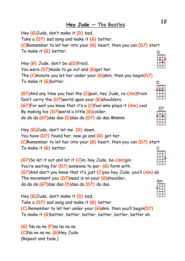#### Hey Jude — The Beatles

Hey (G)Jude, don't make it (D) bad, Take a  $(D7)$  sad song and make it  $(G)$  better. (C)Remember to let her into your (G) heart, then you can (D7) start To make it  $(G)$  better. G

Hey (G) Jude, don't be a(D)fraid, You were  $(D7)$  made to go out and  $(G)$  get her. The (C)minute you let her under your (G)skin, then you begin(D7) To make it (G) better.

(G7)And any time you feel the (C)pain, hey Jude, re-(Am)frain Don't carry the (D7)world upon your (G)shoulders. (G7)For well you know that it's a (C)fool who plays it (Am) cool By making his (D7)world a little (G)colder, da da da (G7)daa daa (D)daa da (D7) da daa Mmmm

Hey (G)Jude, don't let me (D) down, You have  $(D7)$  found her, now go and  $(G)$  get her. (C)Remember to let her into your (G) heart, then you can (D7) start To make it (G) better.

(G7)So let it out and let it (C)in, hey Jude, be-(Am)gin You're waiting for  $(D7)$  someone to per-  $(G)$  form with. (G7)And don't you know that it's just (C)you hey Jude, you'll (Am) do The movement you  $(D7)$ need is on your  $(G)$ shoulder, da da da (G7)daa daa (D)daa da (D7) da daa

Hey (G)Jude, don't make it (D) bad, Take a (D7) sad song and make it (G) better. (C) Remember to let her under your (G)skin, then you'll begin(D7) To make it (G)better, better, better, better, better, better oh.

(G) Na na na (F)na na na na (C)Na na na na, (G)Hey Jude (Repeat and fade.)

12



|  | × |  |
|--|---|--|
|  |   |  |
|  |   |  |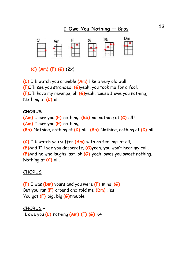



#### (C) (Am) (F) (G) (2x)

(C) I'll watch you crumble (Am) like a very old wall, (F)I'll see you stranded, (G)yeah, you took me for a fool. (F)I'll have my revenge, oh (G)yeah, 'cause I owe you nothing, Nothing at (C) all.

#### **CHORUS**

(Am) I owe you (F) nothing, (Bb) no, nothing at (C) all ! (Am) I owe you (F) nothing; (Bb) Nothing, nothing at (C) all! (Bb) Nothing, nothing at (C) all.

(C) I'll watch you suffer (Am) with no feelings at all, (F)And I'll see you desperate, (G)yeah, you won't hear my call.  $(F)$ And he who laughs last, oh  $(G)$  yeah, owes you sweet nothing, Nothing at (C) all.

#### CHORUS

(F) I was (Dm) yours and you were (F) mine, (G) But you ran (F) around and told me (Dm) lies You got (F) big, big (G)trouble.

CHORUS + I owe you  $(C)$  nothing  $(Am)$   $(F)$   $(G)$   $\times$ 4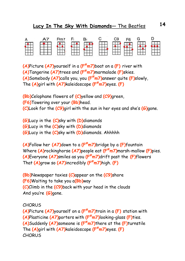#### Lucy In The Sky With Diamonds— The Beatles



(A)Picture (A7) yourself in a  $(F^{\#}m7)$  boat on a (F) river with (A)Tangerine (A7)trees and  $(F^{\#}m7)$ marmalade (F)skies. (A)Somebody (A7)calls you, you  $(F^{\#}m7)$ answer quite (F)slowly, The  $(A)$ girl with  $(A7)$ kaleidoscope  $(F<sup>\#</sup>m7)$ eyes.  $(F)$ 

(Bb)Celophane flowers of (C)yellow and (C9)green, (F6)Towering over your (Bb)head. (C)Look for the (C9)girl with the sun in her eyes and she's (G)gone.

(G)Lucy in the (C)sky with (D)diamonds (G)Lucy in the (C)sky with (D)diamonds (G)Lucy in the (C)sky with (D)diamonds. Ahhhhh

(A)Follow her (A7)down to a  $(F^{\#}m7)$ bridge by a (F)fountain Where  $(A)$ rockinghorse  $(A7)$ people eat  $(F<sup>#</sup>m7)$ marsh-mallow  $(F)$ pies. (A)Everyone (A7)smiles as you  $(F^{\#}m7)$ drift past the (F)flowers That  $(A)$ grow so  $(A7)$ incredibly  $(F^{\#}m7)$ high.  $(F)$ 

(Bb)Newspaper taxies (C)appear on the (C9)shore (F6)Waiting to take you a(Bb)way (C)Climb in the (C9)back with your head in the clouds And you're (G)gone.

#### **CHORUS**

(A)Picture (A7)yourself on a  $(F^{\#}m7)$ train in a (F) station with (A)Plasticine (A7)porters with  $(F^{\#}m7)$ looking-glass (F)ties. (A)Suddenly (A7)someone is  $(F^{\#}m7)$ there at the (F)turnstile The  $(A)$ girl with  $(A7)$ kaleidoscope  $(F^{\#}m7)$ eyes.  $(F)$ **CHORUS**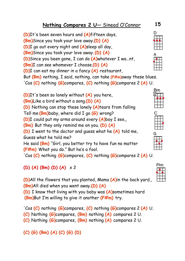#### Nothing Compares 2 U– Sinead O'Connor 15

(D)It's been seven hours and (A)fifteen days, (Bm)Since you took your love away.(D) (A) (D)I go out every night and (A)sleep all day, (Bm)Since you took your love away.(D) (A) (D)Since you been gone, I can do (A)whatever I wa…nt, (Bm)I can see whomever I choose.(D) (A) (D)I can eat my dinner in a fancy (A) restaurant, But  $(Bm)$  nothing, I said, nothing, can take  $(F#m)$ away these blues. 'Cos  $(C)$  nothing  $(G)$ compares,  $(C)$  nothing  $(G)$ compares 2  $(A)$  U.

(D)It's been so lonely without (A) you here, (Bm)Like a bird without a song.(D) (A) (D) Nothing can stop these lonely (A)tears from falling Tell me  $(Bm)$ baby, where did I go  $(G)$  wrong? (D)I could put my arms around every (A)boy I see,, (Bm) But they only remind me on you. (D) (A) (D) I went to the doctor and guess what he (A) told me, Guess what he told me? He said (Bm) "Girl, you better try to have fun no matter (F#m) What you do." But he's a fool. 'Cos  $(C)$  nothing  $(G)$ compares,  $(C)$  nothing  $(G)$ compares 2  $(A)$  U.

#### (D) (A) (Bm) (D) (A)  $\times$  2

(D)All the flowers that you planted, Mama (A)in the back yard., (Bm)All died when you went away.(D) (A) (D) I know that living with you baby was (A)sometimes hard  $(Sm)$ But I'm willing to give it another  $(F#m)$  try.

'Cos  $(C)$  nothing  $(G)$ compares,  $(C)$  nothing  $(G)$ compares 2  $(A)$  U. (C) Nothing (G)compares, (Bm) nothing (A) compares 2 U. (C) Nothing (G)compares, (Bm) nothing (A) compares 2 U.

(C) (G) (Bm) (A) (C) (G) (D)







Вm



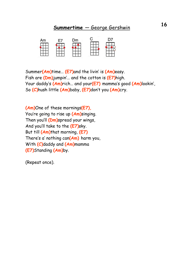#### Summertime — George Gershwin



Summer(Am)time… (E7)and the livin' is (Am)easy. Fish are (Dm)jumpin'… and the cotton is (E7)high. Your daddy's (Am)rich… and your(E7) mamma's good (Am)lookin', So (C)hush little (Am)baby, (E7)don't you (Am)cry.

(Am)One of these mornings(E7), You're going to rise up (Am)singing. Then you'll (Dm)spread your wings, And you'll take to the (E7)sky. But till (Am)that morning, (E7) There's a' nothing can(Am) harm you, With (C)daddy and (Am)mamma (E7)Standing (Am)by.

(Repeat once).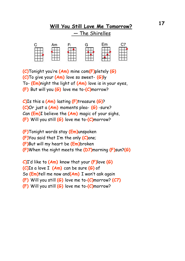#### Will You Still Love Me Tomorrow? — The Shirelles



(C)Tonight you're (Am) mine com(F)pletely (G) (C)To give your (Am) love so sweet- (G)ly To-  $Em$ ) night the light of  $(Am)$  love is in your eyes,  $(F)$  But will you  $(G)$  love me to- $(C)$ morrow?

C)Is this a (Am) lasting (F)treasure (G)? (C)Or just a (Am) moments plea- (G) -sure? Can  $(\text{Em})$ I believe the  $(\text{Am})$  magic of your sighs,  $(F)$  Will you still  $(G)$  love me to- $(C)$ morrow?

(F)Tonight words stay (Em)unspoken

(F)You said that I'm the only (C)one;

(F)But will my heart be (Em)broken

(F)When the night meets the (D7)morning (F)sun?(G)

C)I'd like to (Am) know that your (F)love (G) (C)Is a love I (Am) can be sure (G) of So (Em)tell me now and(Am) I won't ask again  $(F)$  Will you still  $(G)$  love me to- $(C)$ morrow?  $(C7)$  $(F)$  Will you still  $(G)$  love me to- $(C)$ morrow?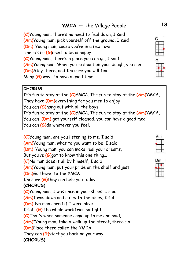#### YMCA — The Village People

(C)Young man, there's no need to feel down, I said (Am)Young man, pick yourself off the ground, I said (Dm) Young man, cause you're in a new town There's no  $(G)$ need to be unhappy. (C)Young man, there's a place you can go, I said (Am)Young man, When you're short on your dough, you can (Dm)Stay there, and I'm sure you will find Many (G) ways to have a good time.

# C

#### **CHORUS**

It's fun to stay at the  $(C)$ YMCA. It's fun to stay at the  $(Am)$ YMCA, They have (Dm)everything for you men to enjoy You can (G)hang out with all the boys. It's fun to stay at the  $(C)$ YMCA. It's fun to stay at the  $(Am)$ YMCA, You can (Dm) get yourself cleaned, you can have a good meal You can (G)do whatever you feel.

(C)Young man, are you listening to me, I said (Am)Young man, what to you want to be, I said (Dm) Young man, you can make real your dreams, But you've  $(G)$  got to know this one thing... (C)No man does it all by himself, I said (Am)Young man, put your pride on the shelf and just (Dm)Go there, to the YMCA I'm sure (G)they can help you today. (CHORUS) (C)Young man, I was once in your shoes, I said (Am)I was down and out with the blues, I felt (Dm) No man cared if I were alive I felt  $(G)$  the whole world was so tight. (C)That's when someone came up to me and said, (Am)"Young man, take a walk up the street, there's a (Dm)Place there called the YMCA They can  $(G)$ start you back on your way. (CHORUS)

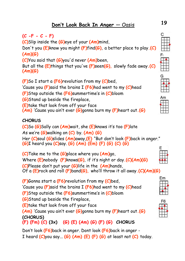#### Don't Look Back In Anger — Oasis

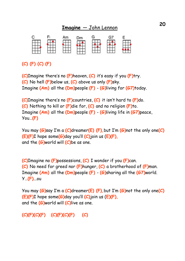#### Imagine — John Lennon



#### (C) (F) (C) (F)

(C)Imagine there's no (F)heaven, (C) it's easy if you (F)try.  $(C)$  No hell  $(F)$ below us,  $(C)$  above us only  $(F)$ sky. Imagine  $(Am)$  all the  $(Dm)$ people  $(F)$  -  $(G)$ living for  $(G7)$ today.

(C)Imagine there's no (F)countries, (C) it isn't hard to (F)do. (C) Nothing to kill or (F)die for, (C) and no religion (F)to. Imagine (Am) all the (Dm)people (F) - (G)living life in (G7)peace, You…(F)

You may  $(G)$ say I'm a  $(C)$ dreamer $(E)$   $(F)$ , but I'm  $(G)$ not the only one $(C)$  $(E)(F)$ I hope some $(G)$ day you'll  $(C)$ join us  $(E)(F)$ , and the  $(G)$ world will  $(C)$ be as one.

(C)Imagine no (F)possessions, (C) I wonder if you (F)can. (C) No need for greed nor (F)hunger, (C) a brotherhood of (F)man. Imagine (Am) all the (Dm)people (F) - (G)sharing all the (G7)world. Y…(F)...ou

You may (G)say I'm a (C)dreamer(E) (F), but I'm (G)not the only one(C)  $(E)(F)$ I hope some $(G)$ day you'll  $(C)$ join us  $(E)(F)$ , and the  $(G)$ world will  $(C)$ live as one.

 $(C)(F)(C)(F)$   $(C)(F)(C)(F)$   $(C)$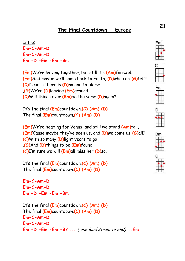#### The Final Countdown — Europe

Intro: Em-C-Am-D Em-C-Am-D Em -D -Em -Em -Bm ...

(Em)We're leaving together, but still it's (Am)farewell (Em)And maybe we'll come back to Earth, (D)who can (G)tell? (C)I guess there is (D)no one to blame ,(G)We're (D)leaving (Em)ground. (C)Will things ever (Bm)be the same (D)again?

It's the final  $(Em)$ countdown. $(C)$   $(Am)$   $(D)$ The final (Em)countdown.(C) (Am) (D)

(Em)We're heading for Venus, and still we stand (Am)tall, (Em)'Cause maybe they've seen us, and (D)welcome us (G)all? (C)With so many (D)light years to go ,(G)And (D)things to be (Em)found. (C)I'm sure we will (Bm)all miss her (D)so.

It's the final (Em)countdown.(C) (Am) (D) The final (Em)countdown.(C) (Am) (D)

Em-C-Am-D Em-C-Am-D Em -D -Em -Em -Bm

```
It's the final (Em)countdown.(C) (Am) (D)
The final (Em)countdown.(C) (Am) (D)
Em-C-Am-D 
Em-C-Am-D 
Em -D -Em -Em -B7 ... ( one loud strum to end) ...Em
```
Em







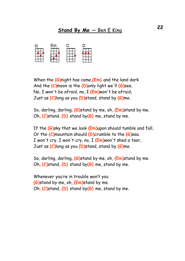# Stand By  $Me - Ben E$  King 22



When the  $(G)$ night has come,  $(Em)$  and the land dark And the  $(C)$ moon is the  $(D)$ only light we'll  $(G)$ see. No, I won't be afraid, no, I (Em)won't be afraid, Just as  $(C)$  long as you  $(D)$  stand, stand by  $(G)$  me.

So, darling, darling, (G)stand by me, oh, (Em)stand by me. Oh,  $(C)$ stand,  $(D)$  stand by  $(G)$  me, stand by me.

If the  $(G)$ sky that we look  $(Em)$ upon should tumble and fall, Or the  $(C)$ mountain should  $(D)$ crumble to the  $(G)$ sea. I won't cry, I won't cry, no, I (Em)won't shed a tear, Just as (C)long as you (D)stand, stand by (G)me.

So, darling, darling, (G)stand by me, oh, (Em)stand by me. Oh,  $(C)$ stand,  $(D)$  stand by  $(G)$  me, stand by me.

Whenever you're in trouble won't you (G)stand by me, oh, (Em)stand by me. Oh,  $(C)$ stand,  $(D)$  stand by  $(G)$  me, stand by me.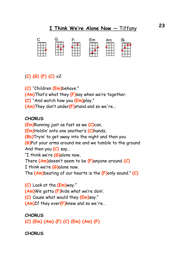#### I Think We're Alone Now — Tiffany



#### (C) (G) (F) (C) x2

(C) "Children (Em)behave." (Am)That's what they (F)say when we're together. (C) "And watch how you (Em)play." (Am)They don't under(F)stand and so we're...

#### **CHORUS**

(Em)Running just as fast as we (C)can, (Em)Holdin' onto one another's (C)hands, (Bb)Tryin' to get away into the night and then you (G)Put your arms around me and we tumble to the ground And then you  $(C)$  say... "I think we're (G) alone now, There  $(Am)$ doesn't seem to be  $(F)$ anyone around. $(C)$ I think we're (G)alone now. The (Am)beating of our hearts is the (F)only sound." (C)

(C) Look at the (Em)way." (Am)We gotta (F)hide what we're doin'. (C) Cause what would they (Em)say." (Am)If they ever(F)knew and so we're…

**CHORUS** (C) (Em) (Am) (F) (C) (Em) (Am) (F)

#### **CHORUS**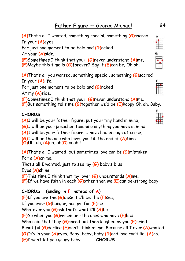(A)That's all I wanted, something special, something (G)sacred In your (A)eyes.

For just one moment to be bold and (G)naked At your (A)side.

(F)Sometimes I think that you'll (G)never understand (A)me.  $(F)$ Maybe this time is  $(G)$ forever? Say it  $(E)$ can be, Oh oh.

(A)That's all you wanted, something special, something (G)sacred In your (A)life.

For just one moment to be bold and (G)naked At my (A)side.

(F)Sometimes I think that you'll (G)never understand (A)me.

 $(F)$ But something tells me  $(G)$ together we'd be  $(E)$ happy Oh oh. Baby.

#### **CHORUS**

(A)I will be your father figure, put your tiny hand in mine, (G)I will be your preacher teaching anything you have in mind.

(A)I will be your father figure, I have had enough of crime,

(G)I will be the one who loves you till the end of (A)time.  $\overline{(G)}$ Uh, uh,  $(A)$ uh, oh $(G)$  yeah !

(A)That's all I wanted, but sometimes love can be (G)mistaken For a (A)crime.

That's all I wanted, just to see my  $(G)$  baby's blue Eyes (A)shine.

(F)This time I think that my lover (G) understands (A)me.

 $(F)$ If we have faith in each  $(G)$ other then we  $(E)$ can be-strong baby.

#### CHORUS (ending in F instead of A)

 $(F)$ If you are the  $(G)$ desert I'll be the  $(F)$ sea, If you ever  $(G)$ hunger, hunger for  $(F)$ me. Whatever you  $(G)$ ask that's what I'll  $(A)$ be (F)So when you (G)remember the ones who have (F)lied Who said that they (G)cared but then laughed as you (F)cried Beautiful (G)darling (E)don't think of me. Because all I ever (A)wanted (G)It's in your (A)eyes, Baby, baby, baby (G)and love can't lie, (A)no. (E)I won't let you go my baby. CHORUS

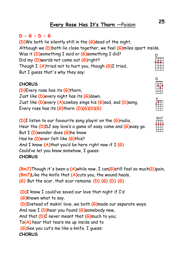#### Every Rose Has It's Thorn —Poison

#### $D - G - D - G$

(D)We both lie silently still in the (G)dead of the night, Although we (D)both lie close together, we feel (G)miles apart inside. Was it (D)something I said or (G)something I did? D Did my (D)words not come out (G)right? Though I  $(A)$ tried not to hurt you, though  $(G)$ I tried, But I guess that's why they say:

#### **CHORUS**

(D)Every rose has its (G)thorn, Just like (D)every night has its (G)dawn, Just like (D)every (A)cowboy sings his (G)sad, sad (D)song, Every rose has its (G)thorn.(D)(G)(D)(G)

(D)I listen to our favourite song playin' on the (G)radio, Hear the (D)DJ say love's a game of easy come and (G)easy go. But I (D)wonder does (G)he know Has he (D)ever felt like (G)this? And I know  $(A)$ that you'd be here right now if I  $(G)$ Could've let you know somehow, I guess: **CHORUS** 

(Bm7)Though it's been a (A)while now, I can(G)still feel so much(D)pain, (Bm7)Like the knife that (A)cuts you, the wound heals, (G) But the scar, that scar remains. (D) (G) (D) (G)

(D)I know I could've saved our love that night if I'd (G)Known what to say. (D)Instead of makin' love, we both (G)made our separate ways. And now  $I$  (D) hear you found  $(G)$  some body new, And that  $(D)I$  never meant that  $(G)$ much to you; To(A) hear that tears me up inside and to (G)See you cut's me like a knife. I guess: **CHORUS** 

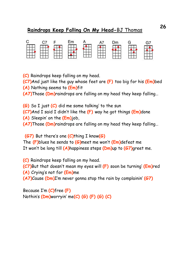#### Raindrops Keep Falling On My Head-BJ Thomas



(C) Raindrops keep falling on my head.

(C7)And just like the guy whose feet are (F) too big for his (Em)bed (A) Nothing seems to (Em)fit

(A7)Those (Dm)raindrops are falling on my head they keep falling…

(G) So I just (C) did me some talking' to the sun

(C7)And I said I didn't like the (F) way he got things (Em)done (A) Sleepin' on the (Em)job,

(A7)Those (Dm)raindrops are falling on my head they keep falling…

(G7) But there's one  $(C)$ thing I know $(G)$ 

The  $(F)$ blues he sends to  $(G)$ meet me won't  $(Fm)$ defeat me It won't be long till (A)happiness steps (Dm)up to (G7)greet me.

(C) Raindrops keep falling on my head. (C7)But that doesn't mean my eyes will (F) soon be turning' (Em)red (A) Crying's not for (Em)me (A7)Cause (Dm)I'm never gonna stop the rain by complainin' (G7)

Because I'm (C)free (F) Nothin's (Dm)worryin' me(C) (G) (F) (G) (C)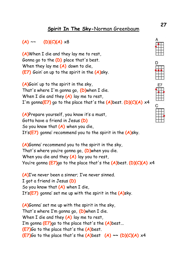#### Spirit In The Sky-Norman Greenbaum

#### (A)  $\sim$  (D)(C)(A)  $\times$ 8

(A)When I die and they lay me to rest, Gonna go to the (D) place that's best. When they lay me (A) down to die, (E7) Goin' on up to the spirit in the (A)sky.

(A)Goin' up to the spirit in the sky, That's where I'm gonna go, (D)when I die. When I die and they  $(A)$  lay me to rest, I'm gonna( $E7$ ) go to the place that's the  $(A)$ best.  $(D)(C)(A) \times 4$ 

(A)Prepare yourself, you know it's a must, Gotta have a friend in Jesus (D) So you know that (A) when you die, It's( $E7$ ) gonna' recommend you to the spirit in the  $(A)$ sky.

(A)Gonna' recommend you to the spirit in the sky, That's where you're gonna go, (D)when you die. When you die and they (A) lay you to rest, You're gonna  $(E7)$ go to the place that's the  $(A)$ best.  $(D)(C)(A) \times 4$ 

(A)I've never been a sinner; I've never sinned. I got a friend in Jesus (D) So you know that (A) when I die, It's( $E7$ ) gonna' set me up with the spirit in the  $(A)$ sky.

(A)Gonna' set me up with the spirit in the sky, That's where I'm gonna go, (D)when I die. When I die and they  $(A)$  lay me to rest, I'm gonna  $(E7)$ go to the place that's the  $(A)$ best... (E7)Go to the place that's the (A)best. **(E7)**Go to the place that's the  $(A)$  best  $(A) \sim (D)(C)(A) \times 4$ 



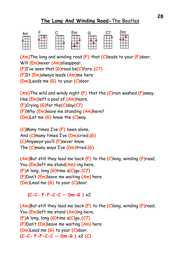#### The Long And Winding Road-The Beatles



(Am)The long and winding road (F) that (C)leads to your (F)door, Will (Em)never (Am)disappear,  $(F)$ I've seen that  $(G)$ road be $(C)$ fore. $(C7)$ (F)It (Em)always leads (Am)me here (Dm)Leads me (G) to your (C)door.

 $(Am)$ The wild and windy night  $(F)$  that the  $(C)$ rain washed  $(F)$ away, Has (Em)left a pool of (Am)tears, (F)Crying (G)for the(C)day(C7) (F)Why (Em)leave me standing (Am)here? (Dm)Let me (G) know the (C)way.

(C)Many times I've (F) been alone, And (C)many times I've (Dm)cried,(G) (C)Anyways you'll (F)never know The (C)many ways I've (Dm)tried.(G)

 $(Am)$ But still they lead me back  $(F)$  to the  $(C)$ long, winding  $(F)$ road, You (Em)left me stand(Am)-ing here,  $(F)$ A long, long  $(G)$ time a $(C)$ go. $(C7)$ (F)Don't (Em)leave me waiting (Am) here (Dm)Lead me (G) to your (C)door.

 $(C-C - F-F-C-C - Dm-G) x2$ 

 $(Am)$ But still they lead me back  $(F)$  to the  $(C)$ long, winding  $(F)$ road, You (Em)left me stand (Am)ing here,  $(F)$ A long, long  $(G)$ time a $(C)$ go. $(C7)$ (F)Don't (Em)leave me waiting (Am) here (Dm)Lead me (G) to your (C)door.  $(C-C- F-F-C-C - Dm-G) \times 2$  (C)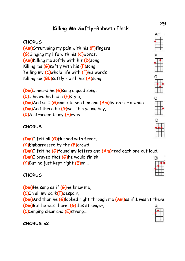### Killing Me Softly-Roberta Flack

#### **CHORUS**

(Am)Strumming my pain with his (F)fingers, (G)Singing my life with his (C)words, (Am)Killing me softly with his (D)song, Killing me  $(G)$ softly with his  $(F)$ song Telling my  $(C)$ whole life with  $(F)$ his words Killing me (Bb)softly - with his (A)song.

(Dm)I heard he (G)sang a good song, (C)I heard he had a (F)style, (Dm)And so I (G)came to see him and (Am)listen for a while. (Dm)And there he (G)was this young boy, (C)A stranger to my (E)eyes...

#### **CHORUS**

(Dm)I felt all (G)flushed with fever, (C)Embarrassed by the (F)crowd, (Dm)I felt he (G)found my letters and (Am)read each one out loud. (Dm)I prayed that (G)he would finish, (C)But he just kept right (E)on...

#### **CHORUS**

(Dm)He sang as if (G)he knew me, (C)In all my dark(F)despair, (Dm)And then he (G)looked right through me (Am)as if I wasn't there. (Dm)But he was there, (G)this stranger, (C)Singing clear and (E)strong…

CHORUS x2



Am



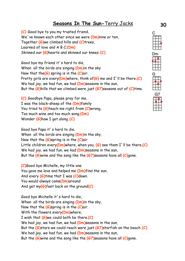#### Seasons In The Sun-Terry Jacks 30

(C) Good bye to you my trusted friend, We've known each other since we were (Dm)nine or ten, Together  $(G)$ we climbed hills and  $(C)$ trees, Learned of love and  $A B C$ ; (Dm) Skinned our (G)hearts and skinned our knees.(C)

Good bye my friend it`s hard to die, When all the birds are singing (Dm)in the sky Now that the  $(G)$  spring is in the  $(C)$ air. Pretty girls are every (Dm)where, think of  $(G)$  me and I`ll be there.  $(C)$ We had joy, we had fun, we had (Dm)seasons in the sun, But the  $(G)$ hills that we climbed were just  $(G7)$ seasons out of  $(C)$ time.

(C) Goodbye Papa, please pray for me. I was the black-sheep of the (Dm)family You tried to (G)teach me right from (C)wrong, Too much wine and too much song;(Dm) Wonder (G)how I got along.(C)

Good bye Papa it`s hard to die, When all the birds are singing (Dm)in the sky, Now that the  $(G)$ spring is in the  $(C)$ air. Little children every(Dm)where, when you,  $(G)$  see them I'll be there. $(C)$ We had joy, we had fun, we had (Dm)seasons in the sun, But the  $(G)$ wine and the song like the  $(G7)$ seasons have all  $(C)$ gone.

(C)Good bye Michelle, my little one You gave me love and helped me (Dm)find the sun, And every  $(G)$ time that I was  $(C)$ down. You would always come(Dm)around And get my $(G)$ feet back on the ground $(C)$ 

Good bye Michelle it`s hard to die, When all the birds are singing (Dm)in the sky, Now that the  $(G)$ spring is in the  $(C)$ air. With the flowers every(Dm)where, I wish that  $(G)$ we could both be there. $(C)$ We had joy, we had fun, we had (Dm)seasons in the sun, But the (G)stars we could reach were just (G7)starfish on the beach.(C) We had joy, we had fun, we had (Dm)seasons in the sun, But the (G)wine and the song like the (G7) seasons have all (C) gone.

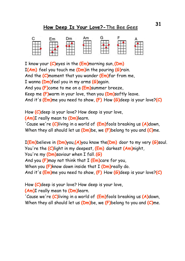# 31 How Deep Is Your Love?-The Bee Gees



I know your (C)eyes in the (Em)morning sun, (Dm)  $I(Am)$  feel you touch me  $(Dm)$ in the pouring  $(G)$ rain. And the  $(C)$ moment that you wander  $(Em)$ far from me, I wanna (Dm)feel you in my arms (G)again. And you (F)come to me on a (Em)summer breeze, Keep me (F)warm in your love, then you (Dm)softly leave. And it's ( $Em$ )me you need to show,  $(F)$  How ( $G$ )deep is your love? $(C)$ 

How (C)deep is your love? How deep is your love,

(Am)I really mean to (Dm)learn.

'Cause we're (C)living in a world of (Em)fools breaking us (A)down, When they all should let us  $(Dm)$ be, we  $(F)$ belong to you and  $(C)$ me.

I(Em)believe in (Dm)you, (A)you know the  $(Dm)$  door to my very  $(G)$ soul. You're the  $(C)$ light in my deepest,  $(Em)$  darkest  $(Am)$ night, You're my  $(Dm)$ saviour when I fall. $(G)$ And you  $(F)$ may not think that I  $(Em)$  care for you, When you  $(F)$ know down inside that I (Dm)really do. And it's ( $Em$ )me you need to show,  $(F)$  How ( $G$ )deep is your love? $(C)$ 

How (C)deep is your love? How deep is your love,

(Am)I really mean to (Dm)learn.

'Cause we're (C)living in a world of (Em)fools breaking us (A)down, When they all should let us  $(Dm)$ be, we  $(F)$ belong to you and  $(C)$ me.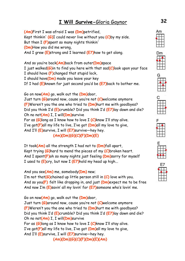#### I Will Survive-Gloria Gaynor

(Am)First I was afraid I was (Dm)petrified, Kept thinkin'  $(G)I$  could never live without you  $(C)$ by my side. But then I (F)spent so many nights thinkin' (Dm)How you did me wrong, And I grew  $(E)$ strong and I learned  $(E7)$ how to get along. And so you're back(Am)back from outer(Dm)space I just walked $(G)$ in to find you here with that sad $(C)$ look upon your face I should have (F)changed that stupid lock, I should have(Dm) made you leave your key If I had  $(E)$ known for just second you'd be  $(E7)$ back to bother me. Go on now(Am) go, walk out the (Dm)door, Just turn (G)around now, cause you're not (C)welcome anymore (F)Weren't you the one who tried to (Dm)hurt me with goodbyes? Did you think I'd (E)crumble? Did you think I'd (E7) lay down and die? Oh no not (Am) I, I will (Dm) survive For as (G)long as I know how to love I (C) know I'll stay alive. I've got $(F)$ all my life to live, I've got  $(Dm)$ all my love to give, And I'll  $(E)$ survive, I will  $(E7)$ survive—hey hey.  $(Am)(Dm)(G)(C)(F)(Dm)(E)$ It took( $Am$ ) all the strength I had not to  $(Dm)$ fall apart, Kept trying  $(G)$ hard to mend the pieces of my  $(C)$ broken heart.

And I spent( $F$ )oh so many nights just feeling ( $Dm$ )sorry for myself I used to  $(E)$ cry, but now I  $(E7)$ hold my head up high...

And you see( $Am$ ) me, somebody( $Dm$ ) new; I'm not that  $(G)$ chained up little person still in  $(C)$  love with you. And so you $(F)$  felt like dropping in, and just  $(Dm)$ expect me to be free And now I'm (E)savin' all my lovin' for (E7)someone who's lovin' me.

Go on now(Am) go, walk out the (Dm)door, Just turn (G)around now, cause you're not (C)welcome anymore (F)Weren't you the one who tried to (Dm)hurt me with goodbyes? Did you think I'd (E)crumble? Did you think I'd (E7) lay down and die? Oh no not (Am) I, I will (Dm) survive For as  $(G)$ long as I know how to love I  $(C)$ know I'll stay alive. I've got $(F)$ all my life to live, I've got  $(Dm)$ all my love to give, And I'll  $(E)$ survive, I will  $(E7)$ survive—hey hey.













| ٠<br>٠<br>ï<br>۱<br>٦<br>t<br>١<br>١ |   |
|--------------------------------------|---|
|                                      |   |
|                                      |   |
|                                      | ٠ |
|                                      |   |
|                                      |   |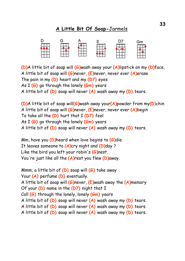#### A Little Bit Of Soap-Jarmels



(D)A little bit of soap will (G)wash away your (A)lipstick on my (D)face, A little bit of soap will (G)never, (E)never, never ever (A)erase The pain in my  $(D)$  heart and my  $(D7)$  eyes As  $I(G)$  go through the lonely  $(Gm)$  years A little bit of  $(D)$  soap will never  $(A)$  wash away my  $(D)$  tears.

(D)A little bit of soap will(G)wash away your(A)powder from my(D)chin A little bit of soap will  $(G)$ never,  $(E)$ never, never ever  $(A)$ begin To take all the  $(D)$  hurt that  $I(D7)$  feel As  $I(G)$  go through the lonely  $(Gm)$  years A little bit of  $(D)$  soap will never  $(A)$  wash away my  $(D)$  tears.

Mm, have you (D)heard when love begins to (G)die It leaves someone to (A)cry night and (D)day ? Like the bird you left your robin's  $(G)$ nest, You're just like all the (A)rest you flew (D)away.

Mmm, a little bit of  $(D)$  soap will  $(G)$  take away Your (A) perfume (D) eventually. A little bit of soap will (G)never, (E)wash away the (A)memory Of your (D) name in the (D7) night that I Call  $(G)$  through the lonely, lonely  $(Gm)$  years A little bit of  $(D)$  soap will never  $(A)$  wash away my  $(D)$  tears. A little bit of  $(D)$  soap will never  $(A)$  wash away my  $(D)$  tears. A little bit of  $(D)$  soap will never  $(A)$  wash away my  $(D)$  tears.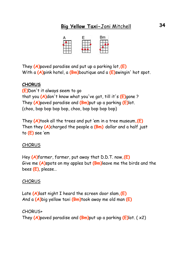#### Big Yellow Taxi-Joni Mitchell 34



They  $(A)$  paved paradise and put up a parking lot,  $(E)$ With a  $(A)$ pink hotel, a  $(Bm)$ boutique and a  $(E)$ swingin' hot spot.

#### CHORUS

(E)Don't it always seem to go that you (A)don't know what you've got, till it's (E)gone? They  $(A)$  paved paradise and  $(Bm)$  put up a parking  $(E)$  lot. (choo, bop bop bop bop, choo, bop bop bop bop)

They  $(A)$ took all the trees and put 'em in a tree museum,  $(E)$ Then they  $(A)$ charged the people a  $(Bm)$  dollar and a half just to (E) see 'em

#### CHORUS

Hey (A)farmer, farmer, put away that D.D.T. now,(E) Give me (A)spots on my apples but (Bm)leave me the birds and the bees (E), please…

#### CHORUS

Late  $(A)$  last night I heard the screen door slam,  $(E)$ And a  $(A)$ big yellow taxi  $(Bm)$ took away me old man  $(E)$ 

CHORUS+ They (A) paved paradise and  $(Bm)$  put up a parking  $(E)$  lot. ( $\times$ 2)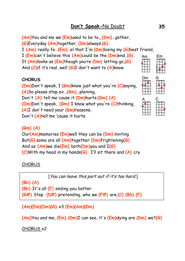#### Don't Speak-No Doubt 35

 $(Am)$ You and me we  $(Em)$ used to be to  $(Dm)$ ...gether,

(G)Everyday (Am)together, (Dm)always.(G)

I (Am) really fe…(Em)…el that I'm (Dm)losing my (G)best friend,

I (Em)can't believe this (Am)could be the (Dm)end.(G) It (Am)looks as (Em)though you're (Dm) letting go,(G) And (C)if it's real, well (G)I don't want to (A)know.

#### **CHORUS**

(Dm)Don't speak, I (Gm)know just what you're (C)saying, (A)So please stop ex…(Gm)...plaining, Don't (A) tell me cause it (Dm)hurts.(Gm) (A) (Dm)Don't speak, (Gm) I know what you're (C)thinking, (A)I don't need your (Gm)reasons, Don't (A)tell me 'cause it hurts.

#### $(Gm)$   $(A)$

Our(Am)memories (Em)well they can be (Dm) inviting But(G) some are all (Am)together (Dm)frightening(G) And as  $(Am)$ we die $(Em)$  both $(Dm)$ you and  $I(G)$  $(C)$ With my head in my hands $(G)$  I'll sit there and  $(A)$  cry

#### **CHORUS**

[You can leave this part out if it's too hard.]

(Bb) (A) (Bb) It's all (F) ending you better  $(G#)$  Stop  $(D#)$  pretending, who we  $(F#)$  are. $(C)$  (Bb)  $(F)$ 

#### $(Am)(Em)(Om)(G) \times 3$  (Em)(Am)(Dm)

(Am)You and me, (Em) (Dm)I can see, it's (Em)dying are (Dm) we?(G)

CHORUS x2

Em



Am

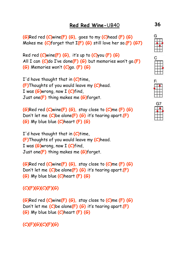#### Red Red Wine-UB40 36

 $(G)$ Red red  $(C)$ wine $(F)$   $(G)$ , goes to my  $(C)$ head  $(F)$   $(G)$ Makes me  $(C)$  forget that  $I(F)$   $(G)$  still love her so.(F)  $(G7)$ 

Red red  $(C)$ wine $(F)$   $(G)$ , it's up to  $(C)$ you  $(F)$   $(G)$ All I can  $(C)$ do I've done $(F)$   $(G)$  but memories won't go. $(F)$  $(G)$  Memories won't  $(C)$ go.  $(F)$   $(G)$ 

I'd have thought that in  $(C)$ time, (F)Thoughts of you would leave my (C)head. I was (G)wrong, now I (C)find, Just one $(F)$  thing makes me  $(G)$ forget.

 $(G)$ Red red  $(C)$ wine $(F)$   $(G)$ , stay close to  $(C)$ me  $(F)$   $(G)$ Don't let me (C)be alone(F) (G) it's tearing apart.(F) (G) My blue blue (C)heart (F) (G)

I'd have thought that in  $(C)$ time, (F)Thoughts of you would leave my (C)head. I was (G)wrong, now I (C)find, Just one $(F)$  thing makes me  $(G)$ forget.

 $(G)$ Red red  $(C)$ wine $(F)$   $(G)$ , stay close to  $(C)$ me  $(F)$   $(G)$ Don't let me (C)be alone(F) (G) it's tearing apart.(F) (G) My blue blue (C)heart (F) (G)

#### $(C)(F)(G)(C)(F)(G)$

 $(G)$ Red red  $(C)$ wine $(F)$   $(G)$ , stay close to  $(C)$ me  $(F)$   $(G)$ Don't let me (C)be alone(F) (G) it's tearing apart.(F) (G) My blue blue (C)heart (F) (G)

 $(C)(F)(G)(C)(F)(G)$ 



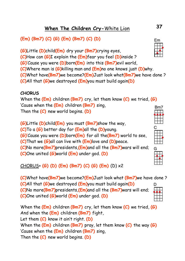### When The Children Cry-White Lion 37

#### (Em) (Bm7) (C) (G) (Em) (Bm7) (C) (D)

(G)Little (D)child(Em) dry your (Bm7)crying eyes, (C)How can (G)I explain the (Em)fear you feel (D)inside ? (G)'Cause you were (D)born(Em) into this (Bm7)evil world, (C)Where man is (G)killing man and (Em)no one knows just (D)why. (C)What have(Bm7)we become?(Em)Just look what(Bm7)we have done ? (C)All that (G)we destroyed (Em)you must build again(D)

#### **CHORUS**

When the  $(\text{Em})$  children  $(\text{Bm7})$  cry, let them know  $(\text{C})$  we tried,  $(\text{G})$ 'Cause when the  $(\text{Em})$  children (Bm7) sing, Then the  $(C)$  new world begins.  $(D)$ 

(G)Little (D)child(Em) you must (Bm7)show the way, (C)To a (G) better day for (Em)all the (D)young. (G)'Cause you were (D)born(Em) for all the(Bm7) world to see, (C)That we (G)all can live with (Em)love and (D)peace. (C)No more(Bm7)presidents,(Em)and all the (Bm7)wars will end; (C)One united (G)world (Em) under god. (D)

#### $CHORUS+ (G)$  (D) (Em) (Bm7) (C) (G) (Em) (D)  $\times$ 2

(C)What have(Bm7)we become?(Em)Just look what (Bm7)we have done ? (C)All that (G)we destroyed (Em)you must build again(D) (C)No more(Bm7)presidents,(Em)and all the (Bm7)wars will end; (C)One united (G)world (Em) under god. (D)

When the  $(\text{Em})$  children  $(\text{Bm7})$  cry, let them know  $(C)$  we tried,  $(G)$ And when the (Em) children (Bm7) fight, Let them  $(C)$  know it ain't right.  $(D)$ When the  $(\text{Em})$  children (Bm7) pray, let them know  $(C)$  the way  $(G)$ 'Cause when the  $(\text{Em})$  children (Bm7) sing, Then the  $(C)$  new world begins.  $(D)$ 

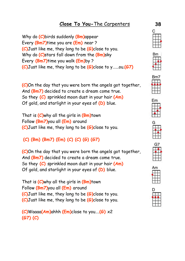#### Close To You-The Carpenters 38

Why do *(C)*birds suddenly *(Bm)appear* Every (Bm7)time you are (Em) near ? (C)Just like me, they long to be (G)close to you. Why do *(C)stars fall down from the (Bm)sky* Every (Bm7)time you walk (Em)by ? (C)Just like me, they long to be (G)close to y…...ou.(G7)

(C)On the day that you were born the angels got together, And (Bm7) decided to create a dream come true. So they  $(C)$  sprinkled moon dust in your hair  $(Am)$ Of gold, and starlight in your eyes of (D) blue.

That is  $(C)$ why all the girls in  $(Bm)$ town Follow (Bm7)you all (Em) around (C)Just like me, they long to be (G)close to you.

#### (C) (Bm) (Bm7) (Em) (C) (C) (G) (G7)

(C)On the day that you were born the angels got together, And (Bm7) decided to create a dream come true. So they  $(C)$  sprinkled moon dust in your hair  $(Am)$ Of gold, and starlight in your eyes of (D) blue.

That is  $(C)$ why all the girls in  $(Bm)$ town Follow (Bm7)you all (Em) around (C)Just like me, they long to be (G)close to you. (C)Just like me, they long to be (G)close to you.

(C)Waaaa(Am)ahhh (Em)close to you….(G) x2 (G7) (C)















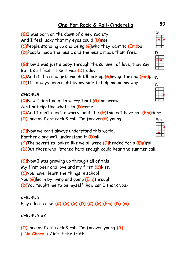#### One For Rock & Roll-Cinderella 39

(G)I was born on the dawn of a new society, And I feel lucky that my eyes could (D)see (C)People standing up and being (G)who they want to (Em)be (D)People made the music and the music made them free.

(G)Now I was just a baby through the summer of love, they say. But I still feel it like it was (D)today.

(C)And if the road gets rough I'll pick up (G)my guitar and (Em)play, (D)It's always been right by my side to help me on my way.

#### **CHORUS**

(C)Now I don't need to worry 'bout (G)tomorrow Ain't anticipating what's to (D)come.

(C)And I don't need to worry 'bout the (G)things I have not (Em)done, (D)Long as I got rock & roll, I'm forever(G) young.

(G)Now we can't always understand this world,

Farther along we'll understand it (D)all.

(C)The seventies looked like we all were (G)headed for a (Em)fall

(D)But those who listened hard enough could hear the summer call.

(G)Now I was growing up through all of this, My first beer and love and my first (D)kiss, (C)You never learn the things in school You (G)learn by living and going (Em)through (D)You taught me to be myself, how can I thank you?

**CHORUS** Play a little now (C) (G) (G) (D) (C) (G) (Em) (D) (G)

#### CHORUS x2

(D)Long as I got rock & roll, I'm forever young.(G) ( No Chord ) Ain't it the truth.

G

| $\sim$<br>w | $\sim$ |
|-------------|--------|
|             |        |
|             |        |
|             |        |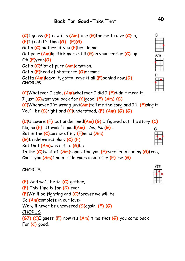#### Back For Good-Take That

 $(C)$ I guess  $(F)$  now it's  $(Am)$ time  $(G)$ for me to give  $(C)$ up,  $(F)$ I feel it's time. $(G)$   $(F)(G)$ Got a (C) picture of you (F)beside me Got your (Am)lipstick mark still (G)on your coffee (C)cup. Oh (F)yeah(G) Got a (C)fist of pure (Am)emotion, Got a (F)head of shattered (G)dreams Gotta (Am)leave it, gotta leave it all (F)behind now.(G) **CHORUS** 

С Am

(C)Whatever I said, (Am)whatever I did I (F)didn't mean it, I just  $(G)$ want you back for  $(C)$ good.  $(F)$   $(Am)$   $(G)$ (C)Whenever I'm wrong just(Am)tell me the song and I'll (F)sing it, You'll be (G)right and (C)understood. (F) (Am) (G) (G)

(C)Unaware (F) but underlined(Am) (G),I figured out the story;(C) No, no. (F) It wasn't good(Am). No, No (G). G But in the  $(C)$ corner of my  $(F)$ mind  $(Am)$ (G)I celebrated glory.(C) (F) But that  $(Am)$ was not to  $(G)$ be. In the  $(C)$ twist of  $(Am)$ separation you  $(F)$ excelled at being  $(G)$ free, Can't you (Am)find a little room inside for (F) me (G)

#### CHORUS

 $(F)$  And we'll be to- $(C)$ -gether,

 $(F)$  This time is for- $(C)$ -ever.

(F)We'll be fighting and (C)forever we will be

So (Am)complete in our love-

We will never be uncovered (G)again. (F) (G)

CHORUS

 $(G7)$   $(C)$ I guess  $(F)$  now it's  $(Am)$  time that  $(G)$  you came back For (C) good.

| I<br>I |  |  |  |  |  |
|--------|--|--|--|--|--|
|        |  |  |  |  |  |
|        |  |  |  |  |  |
|        |  |  |  |  |  |
|        |  |  |  |  |  |
|        |  |  |  |  |  |

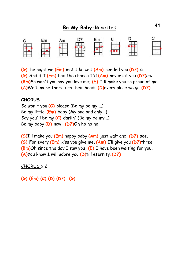# 41 Be My Baby-Ronettes



(G)The night we (Em) met I knew I (Am) needed you (D7) so. (G) And if I (Em) had the chance I'd (Am) never let you (D7)go: (Bm)So won't you say you love me; (E) I'll make you so proud of me. (A)We'll make them turn their heads (D)every place we go.(D7)

#### **CHORUS**

So won't you  $(G)$  please (Be my be my ...) Be my little (Em) baby (My one and only...) Say you'll be my  $(C)$  darlin' (Be my be my...) Be my baby (D) now . (D7)Oh ho ho ho

(G)I'll make you (Em) happy baby (Am) just wait and (D7) see. (G) For every (Em) kiss you give me, (Am) I'll give you (D7)three:  $(Sm)$ Oh since the day I saw you,  $(E)$  I have been waiting for you, (A)You know I will adore you (D)till eternity.(D7)

CHORUS x 2

(G) (Em) (C) (D) (D7) (G)